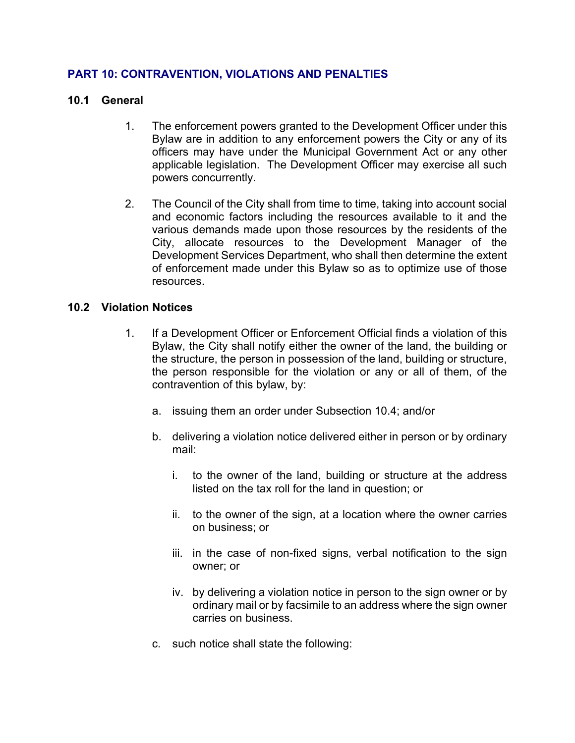# **PART 10: CONTRAVENTION, VIOLATIONS AND PENALTIES**

#### **10.1 General**

- 1. The enforcement powers granted to the Development Officer under this Bylaw are in addition to any enforcement powers the City or any of its officers may have under the Municipal Government Act or any other applicable legislation. The Development Officer may exercise all such powers concurrently.
- 2. The Council of the City shall from time to time, taking into account social and economic factors including the resources available to it and the various demands made upon those resources by the residents of the City, allocate resources to the Development Manager of the Development Services Department, who shall then determine the extent of enforcement made under this Bylaw so as to optimize use of those resources.

#### **10.2 Violation Notices**

- 1. If a Development Officer or Enforcement Official finds a violation of this Bylaw, the City shall notify either the owner of the land, the building or the structure, the person in possession of the land, building or structure, the person responsible for the violation or any or all of them, of the contravention of this bylaw, by:
	- a. issuing them an order under Subsection 10.4; and/or
	- b. delivering a violation notice delivered either in person or by ordinary mail:
		- i. to the owner of the land, building or structure at the address listed on the tax roll for the land in question; or
		- ii. to the owner of the sign, at a location where the owner carries on business; or
		- iii. in the case of non-fixed signs, verbal notification to the sign owner; or
		- iv. by delivering a violation notice in person to the sign owner or by ordinary mail or by facsimile to an address where the sign owner carries on business.
	- c. such notice shall state the following: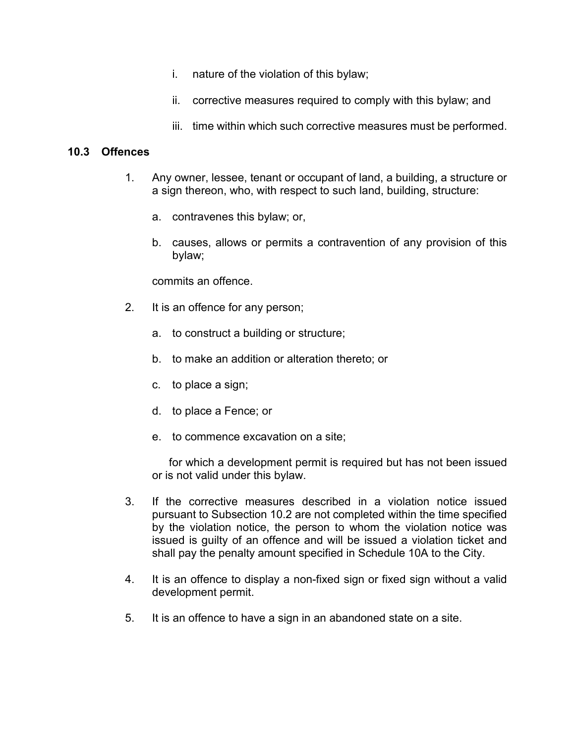- i. nature of the violation of this bylaw;
- ii. corrective measures required to comply with this bylaw; and
- iii. time within which such corrective measures must be performed.

#### **10.3 Offences**

- 1. Any owner, lessee, tenant or occupant of land, a building, a structure or a sign thereon, who, with respect to such land, building, structure:
	- a. contravenes this bylaw; or,
	- b. causes, allows or permits a contravention of any provision of this bylaw;

commits an offence.

- 2. It is an offence for any person;
	- a. to construct a building or structure;
	- b. to make an addition or alteration thereto; or
	- c. to place a sign;
	- d. to place a Fence; or
	- e. to commence excavation on a site;

for which a development permit is required but has not been issued or is not valid under this bylaw.

- 3. If the corrective measures described in a violation notice issued pursuant to Subsection 10.2 are not completed within the time specified by the violation notice, the person to whom the violation notice was issued is guilty of an offence and will be issued a violation ticket and shall pay the penalty amount specified in Schedule 10A to the City.
- 4. It is an offence to display a non-fixed sign or fixed sign without a valid development permit.
- 5. It is an offence to have a sign in an abandoned state on a site.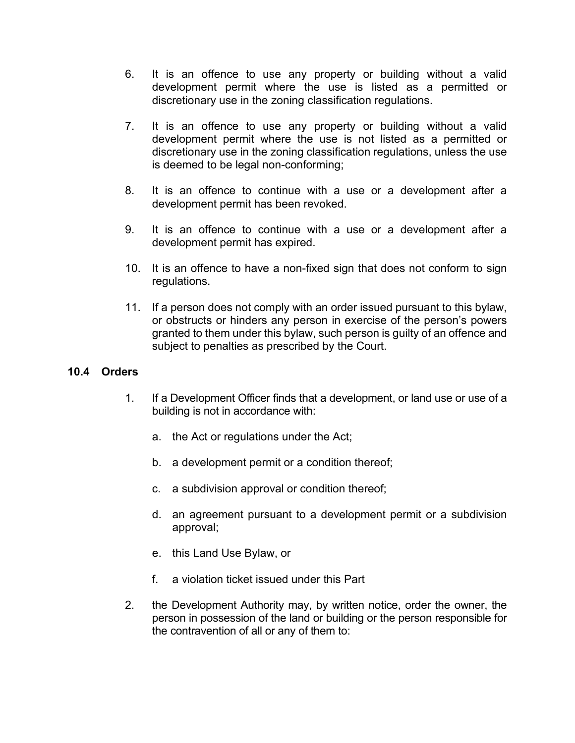- 6. It is an offence to use any property or building without a valid development permit where the use is listed as a permitted or discretionary use in the zoning classification regulations.
- 7. It is an offence to use any property or building without a valid development permit where the use is not listed as a permitted or discretionary use in the zoning classification regulations, unless the use is deemed to be legal non-conforming;
- 8. It is an offence to continue with a use or a development after a development permit has been revoked.
- 9. It is an offence to continue with a use or a development after a development permit has expired.
- 10. It is an offence to have a non-fixed sign that does not conform to sign regulations.
- 11. If a person does not comply with an order issued pursuant to this bylaw, or obstructs or hinders any person in exercise of the person's powers granted to them under this bylaw, such person is guilty of an offence and subject to penalties as prescribed by the Court.

## **10.4 Orders**

- 1. If a Development Officer finds that a development, or land use or use of a building is not in accordance with:
	- a. the Act or regulations under the Act;
	- b. a development permit or a condition thereof;
	- c. a subdivision approval or condition thereof;
	- d. an agreement pursuant to a development permit or a subdivision approval;
	- e. this Land Use Bylaw, or
	- f. a violation ticket issued under this Part
- 2. the Development Authority may, by written notice, order the owner, the person in possession of the land or building or the person responsible for the contravention of all or any of them to: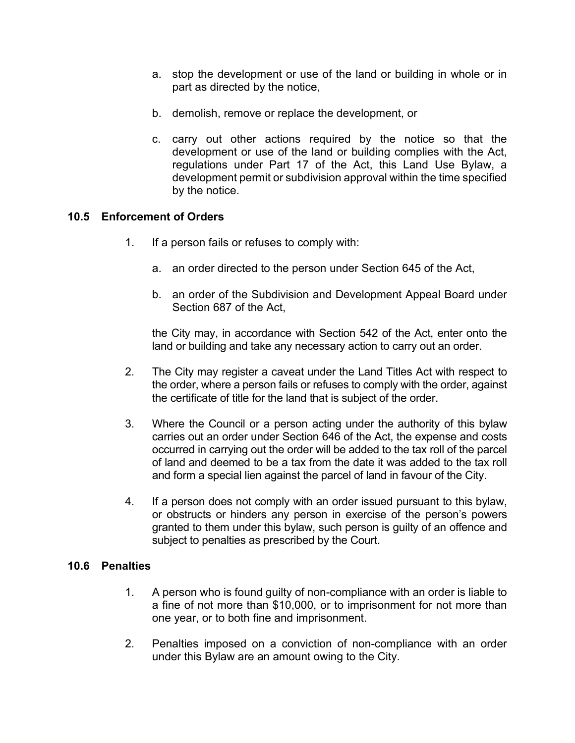- a. stop the development or use of the land or building in whole or in part as directed by the notice,
- b. demolish, remove or replace the development, or
- c. carry out other actions required by the notice so that the development or use of the land or building complies with the Act, regulations under Part 17 of the Act, this Land Use Bylaw, a development permit or subdivision approval within the time specified by the notice.

# **10.5 Enforcement of Orders**

- 1. If a person fails or refuses to comply with:
	- a. an order directed to the person under Section 645 of the Act,
	- b. an order of the Subdivision and Development Appeal Board under Section 687 of the Act,

the City may, in accordance with Section 542 of the Act, enter onto the land or building and take any necessary action to carry out an order.

- 2. The City may register a caveat under the Land Titles Act with respect to the order, where a person fails or refuses to comply with the order, against the certificate of title for the land that is subject of the order.
- 3. Where the Council or a person acting under the authority of this bylaw carries out an order under Section 646 of the Act, the expense and costs occurred in carrying out the order will be added to the tax roll of the parcel of land and deemed to be a tax from the date it was added to the tax roll and form a special lien against the parcel of land in favour of the City.
- 4. If a person does not comply with an order issued pursuant to this bylaw, or obstructs or hinders any person in exercise of the person's powers granted to them under this bylaw, such person is guilty of an offence and subject to penalties as prescribed by the Court.

## **10.6 Penalties**

- 1. A person who is found guilty of non-compliance with an order is liable to a fine of not more than \$10,000, or to imprisonment for not more than one year, or to both fine and imprisonment.
- 2. Penalties imposed on a conviction of non-compliance with an order under this Bylaw are an amount owing to the City.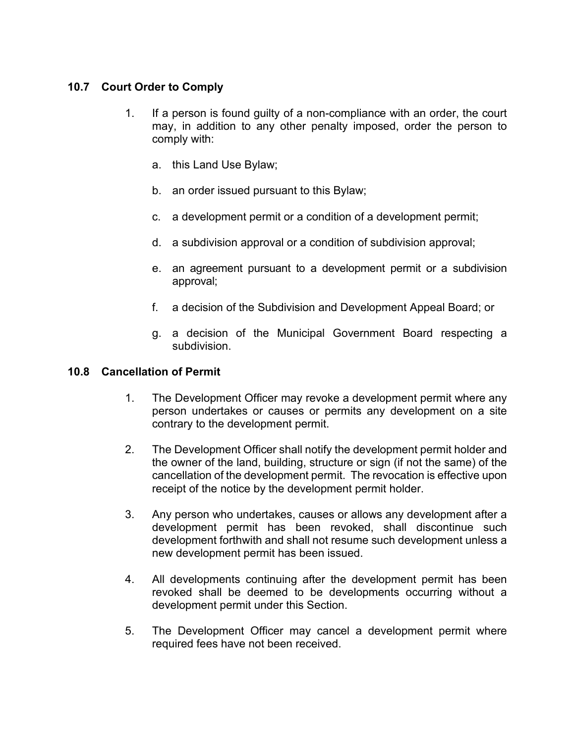# **10.7 Court Order to Comply**

- 1. If a person is found guilty of a non-compliance with an order, the court may, in addition to any other penalty imposed, order the person to comply with:
	- a. this Land Use Bylaw;
	- b. an order issued pursuant to this Bylaw;
	- c. a development permit or a condition of a development permit;
	- d. a subdivision approval or a condition of subdivision approval;
	- e. an agreement pursuant to a development permit or a subdivision approval;
	- f. a decision of the Subdivision and Development Appeal Board; or
	- g. a decision of the Municipal Government Board respecting a subdivision.

## **10.8 Cancellation of Permit**

- 1. The Development Officer may revoke a development permit where any person undertakes or causes or permits any development on a site contrary to the development permit.
- 2. The Development Officer shall notify the development permit holder and the owner of the land, building, structure or sign (if not the same) of the cancellation of the development permit. The revocation is effective upon receipt of the notice by the development permit holder.
- 3. Any person who undertakes, causes or allows any development after a development permit has been revoked, shall discontinue such development forthwith and shall not resume such development unless a new development permit has been issued.
- 4. All developments continuing after the development permit has been revoked shall be deemed to be developments occurring without a development permit under this Section.
- 5. The Development Officer may cancel a development permit where required fees have not been received.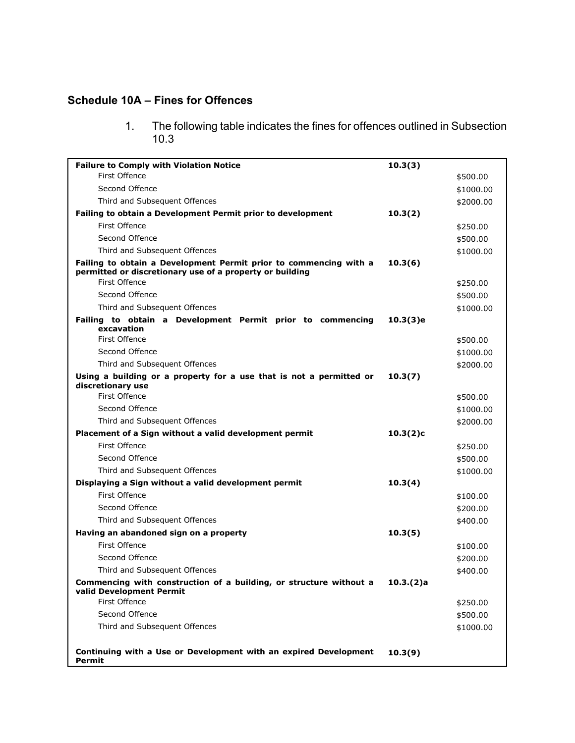# **Schedule 10A – Fines for Offences**

1. The following table indicates the fines for offences outlined in Subsection 10.3

| <b>Failure to Comply with Violation Notice</b>                                                                                | 10.3(3)  |           |
|-------------------------------------------------------------------------------------------------------------------------------|----------|-----------|
| First Offence                                                                                                                 |          | \$500.00  |
| Second Offence                                                                                                                |          | \$1000.00 |
| Third and Subsequent Offences                                                                                                 |          | \$2000.00 |
| Failing to obtain a Development Permit prior to development                                                                   | 10.3(2)  |           |
| First Offence                                                                                                                 |          | \$250.00  |
| Second Offence                                                                                                                |          | \$500.00  |
| Third and Subsequent Offences                                                                                                 |          | \$1000.00 |
| Failing to obtain a Development Permit prior to commencing with a<br>permitted or discretionary use of a property or building | 10.3(6)  |           |
| <b>First Offence</b>                                                                                                          |          | \$250.00  |
| Second Offence                                                                                                                |          | \$500.00  |
| Third and Subsequent Offences                                                                                                 |          | \$1000.00 |
| Failing to obtain a Development Permit prior to commencing<br>excavation                                                      | 10.3(3)e |           |
| <b>First Offence</b>                                                                                                          |          | \$500.00  |
| Second Offence                                                                                                                |          | \$1000.00 |
| Third and Subsequent Offences                                                                                                 |          | \$2000.00 |
| Using a building or a property for a use that is not a permitted or<br>discretionary use                                      | 10.3(7)  |           |
| First Offence                                                                                                                 |          | \$500.00  |
| Second Offence                                                                                                                |          | \$1000.00 |
| Third and Subsequent Offences                                                                                                 |          | \$2000.00 |
| Placement of a Sign without a valid development permit                                                                        | 10.3(2)c |           |
| First Offence                                                                                                                 |          | \$250.00  |
| Second Offence                                                                                                                |          | \$500.00  |
| Third and Subsequent Offences                                                                                                 |          | \$1000.00 |
| Displaying a Sign without a valid development permit                                                                          | 10.3(4)  |           |
| <b>First Offence</b>                                                                                                          |          | \$100.00  |
| Second Offence                                                                                                                |          | \$200.00  |
| Third and Subsequent Offences                                                                                                 |          | \$400.00  |
| Having an abandoned sign on a property                                                                                        | 10.3(5)  |           |
| <b>First Offence</b>                                                                                                          |          | \$100.00  |
| Second Offence                                                                                                                |          | \$200.00  |
| Third and Subsequent Offences                                                                                                 |          | \$400.00  |
| Commencing with construction of a building, or structure without a<br>valid Development Permit                                | 10.3(2)a |           |
| First Offence                                                                                                                 |          | \$250.00  |
| Second Offence                                                                                                                |          | \$500.00  |
| Third and Subsequent Offences                                                                                                 |          | \$1000.00 |
|                                                                                                                               |          |           |
| Continuing with a Use or Development with an expired Development<br><b>Permit</b>                                             | 10.3(9)  |           |